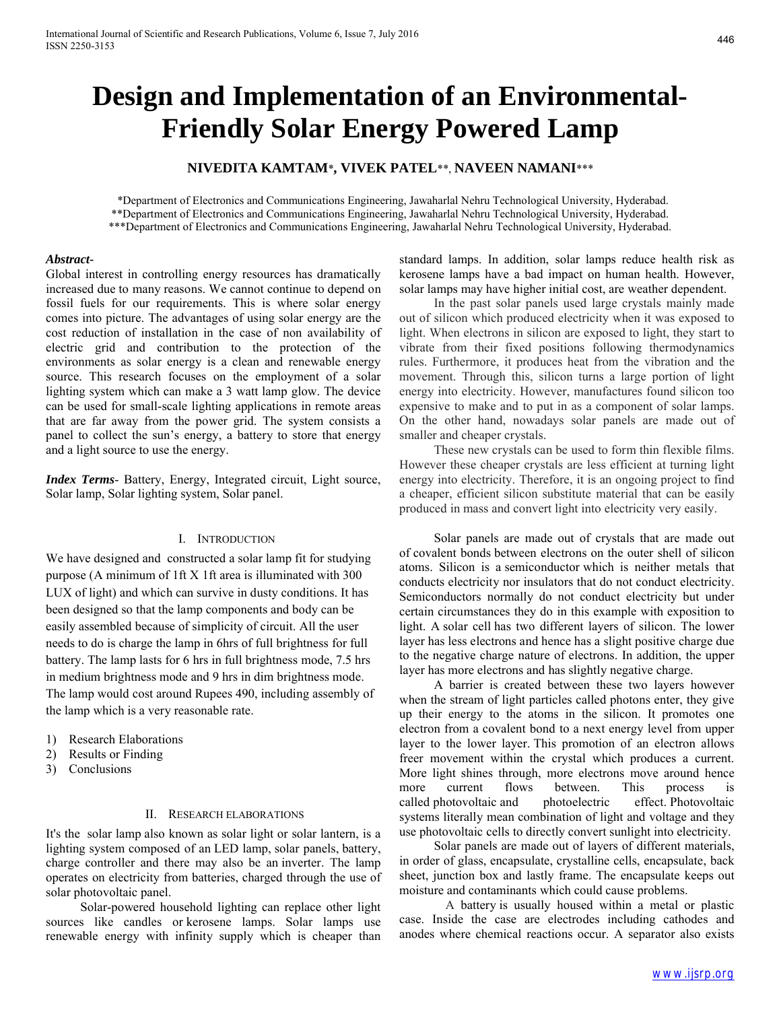# **Design and Implementation of an Environmental-Friendly Solar Energy Powered Lamp**

# **NIVEDITA KAMTAM**\***, VIVEK PATEL**\*\*, **NAVEEN NAMANI**\*\*\*

\*Department of Electronics and Communications Engineering, Jawaharlal Nehru Technological University, Hyderabad. \*\*Department of Electronics and Communications Engineering, Jawaharlal Nehru Technological University, Hyderabad. \*\*\*Department of Electronics and Communications Engineering, Jawaharlal Nehru Technological University, Hyderabad.

#### *Abstract***-**

Global interest in controlling energy resources has dramatically increased due to many reasons. We cannot continue to depend on fossil fuels for our requirements. This is where solar energy comes into picture. The advantages of using solar energy are the cost reduction of installation in the case of non availability of electric grid and contribution to the protection of the environments as solar energy is a clean and renewable energy source. This research focuses on the employment of a solar lighting system which can make a 3 watt lamp glow. The device can be used for small-scale lighting applications in remote areas that are far away from the power grid. The system consists a panel to collect the sun's energy, a battery to store that energy and a light source to use the energy.

*Index Terms*- Battery, Energy, Integrated circuit, Light source, Solar lamp, Solar lighting system, Solar panel.

#### I. INTRODUCTION

We have designed and constructed a solar lamp fit for studying purpose (A minimum of 1ft X 1ft area is illuminated with 300 LUX of light) and which can survive in dusty conditions. It has been designed so that the lamp components and body can be easily assembled because of simplicity of circuit. All the user needs to do is charge the lamp in 6hrs of full brightness for full battery. The lamp lasts for 6 hrs in full brightness mode, 7.5 hrs in medium brightness mode and 9 hrs in dim brightness mode. The lamp would cost around Rupees 490, including assembly of the lamp which is a very reasonable rate.

- 1) Research Elaborations
- 2) Results or Finding
- 3) Conclusions

#### II. RESEARCH ELABORATIONS

It's the solar lamp also known as solar light or solar lantern, is a lighting system composed of an LED lamp, solar panels, battery, charge controller and there may also be an inverter. The lamp operates on electricity from batteries, charged through the use of solar photovoltaic panel.

Solar-powered household lighting can replace other light sources like candles or kerosene lamps. Solar lamps use renewable energy with infinity supply which is cheaper than

standard lamps. In addition, solar lamps reduce health risk as kerosene lamps have a bad impact on human health. However, solar lamps may have higher initial cost, are weather dependent.

In the past solar panels used large crystals mainly made out of silicon which produced electricity when it was exposed to light. When electrons in silicon are exposed to light, they start to vibrate from their fixed positions following thermodynamics rules. Furthermore, it produces heat from the vibration and the movement. Through this, silicon turns a large portion of light energy into electricity. However, manufactures found silicon too expensive to make and to put in as a component of solar lamps. On the other hand, nowadays solar panels are made out of smaller and cheaper crystals.

These new crystals can be used to form thin flexible films. However these cheaper crystals are less efficient at turning light energy into electricity. Therefore, it is an ongoing project to find a cheaper, efficient silicon substitute material that can be easily produced in mass and convert light into electricity very easily.

Solar panels are made out of crystals that are made out of covalent bonds between electrons on the outer shell of silicon atoms. Silicon is a semiconductor which is neither metals that conducts electricity nor insulators that do not conduct electricity. Semiconductors normally do not conduct electricity but under certain circumstances they do in this example with exposition to light. A solar cell has two different layers of silicon. The lower layer has less electrons and hence has a slight positive charge due to the negative charge nature of electrons. In addition, the upper layer has more electrons and has slightly negative charge.

A barrier is created between these two layers however when the stream of light particles called photons enter, they give up their energy to the atoms in the silicon. It promotes one electron from a covalent bond to a next energy level from upper layer to the lower layer. This promotion of an electron allows freer movement within the crystal which produces a current. More light shines through, more electrons move around hence more current flows between. This process is called photovoltaic and photoelectric effect. Photovoltaic systems literally mean combination of light and voltage and they use photovoltaic cells to directly convert sunlight into electricity.

Solar panels are made out of layers of different materials, in order of glass, encapsulate, crystalline cells, encapsulate, back sheet, junction box and lastly frame. The encapsulate keeps out moisture and contaminants which could cause problems.

A battery is usually housed within a metal or plastic case. Inside the case are electrodes including cathodes and anodes where chemical reactions occur. A separator also exists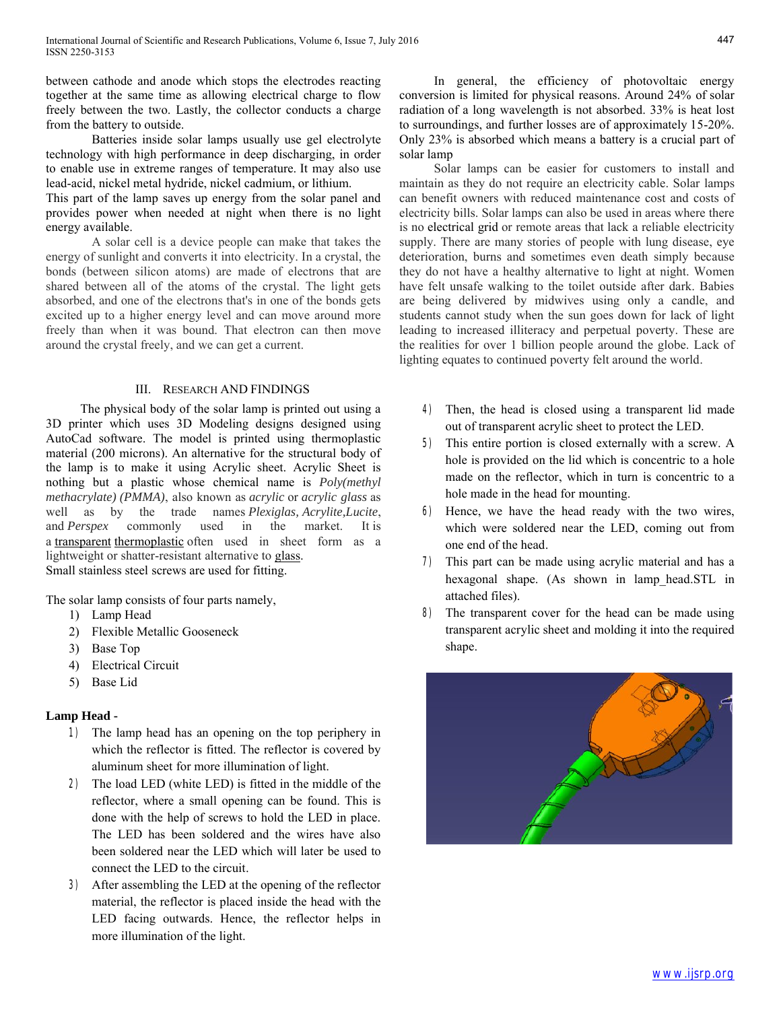between cathode and anode which stops the electrodes reacting together at the same time as allowing electrical charge to flow freely between the two. Lastly, the collector conducts a charge from the battery to outside.

Batteries inside solar lamps usually use gel electrolyte technology with high performance in deep discharging, in order to enable use in extreme ranges of temperature. It may also use lead-acid, nickel metal hydride, nickel cadmium, or lithium.

This part of the lamp saves up energy from the solar panel and provides power when needed at night when there is no light energy available.

A solar cell is a device people can make that takes the energy of sunlight and converts it into electricity. In a crystal, the bonds (between silicon atoms) are made of electrons that are shared between all of the atoms of the crystal. The light gets absorbed, and one of the electrons that's in one of the bonds gets excited up to a higher energy level and can move around more freely than when it was bound. That electron can then move around the crystal freely, and we can get a current.

## III. RESEARCH AND FINDINGS

The physical body of the solar lamp is printed out using a 3D printer which uses 3D Modeling designs designed using AutoCad software. The model is printed using thermoplastic material (200 microns). An alternative for the structural body of the lamp is to make it using Acrylic sheet. Acrylic Sheet is nothing but a plastic whose chemical name is *Poly(methyl methacrylate) (PMMA)*, also known as *acrylic* or *acrylic glass* as well as by the trade names *Plexiglas, Acrylite,Lucite*, and *Perspex* commonly used in the market. It is a [transparent](https://en.wikipedia.org/wiki/Transparency_(optics)) [thermoplastic](https://en.wikipedia.org/wiki/Thermoplastic) often used in sheet form as a lightweight or shatter-resistant alternative to [glass.](https://en.wikipedia.org/wiki/Soda-lime_glass) Small stainless steel screws are used for fitting.

The solar lamp consists of four parts namely,

- 1) Lamp Head
- 2) Flexible Metallic Gooseneck
- 3) Base Top
- 4) Electrical Circuit
- 5) Base Lid

## **Lamp Head -**

- 1) The lamp head has an opening on the top periphery in which the reflector is fitted. The reflector is covered by aluminum sheet for more illumination of light.
- 2) The load LED (white LED) is fitted in the middle of the reflector, where a small opening can be found. This is done with the help of screws to hold the LED in place. The LED has been soldered and the wires have also been soldered near the LED which will later be used to connect the LED to the circuit.
- 3) After assembling the LED at the opening of the reflector material, the reflector is placed inside the head with the LED facing outwards. Hence, the reflector helps in more illumination of the light.

In general, the efficiency of photovoltaic energy conversion is limited for physical reasons. Around 24% of solar radiation of a long wavelength is not absorbed. 33% is heat lost to surroundings, and further losses are of approximately 15-20%. Only 23% is absorbed which means a battery is a crucial part of solar lamp

Solar lamps can be easier for customers to install and maintain as they do not require an electricity cable. Solar lamps can benefit owners with reduced maintenance cost and costs of electricity bills. Solar lamps can also be used in areas where there is no electrical grid or remote areas that lack a reliable electricity supply. There are many stories of people with lung disease, eye deterioration, burns and sometimes even death simply because they do not have a healthy alternative to light at night. Women have felt unsafe walking to the toilet outside after dark. Babies are being delivered by midwives using only a candle, and students cannot study when the sun goes down for lack of light leading to increased illiteracy and perpetual poverty. These are the realities for over 1 billion people around the globe. Lack of lighting equates to continued poverty felt around the world.

- 4) Then, the head is closed using a transparent lid made out of transparent acrylic sheet to protect the LED.
- 5) This entire portion is closed externally with a screw. A hole is provided on the lid which is concentric to a hole made on the reflector, which in turn is concentric to a hole made in the head for mounting.
- 6) Hence, we have the head ready with the two wires, which were soldered near the LED, coming out from one end of the head.
- 7) This part can be made using acrylic material and has a hexagonal shape. (As shown in lamp head.STL in attached files).
- 8) The transparent cover for the head can be made using transparent acrylic sheet and molding it into the required shape.

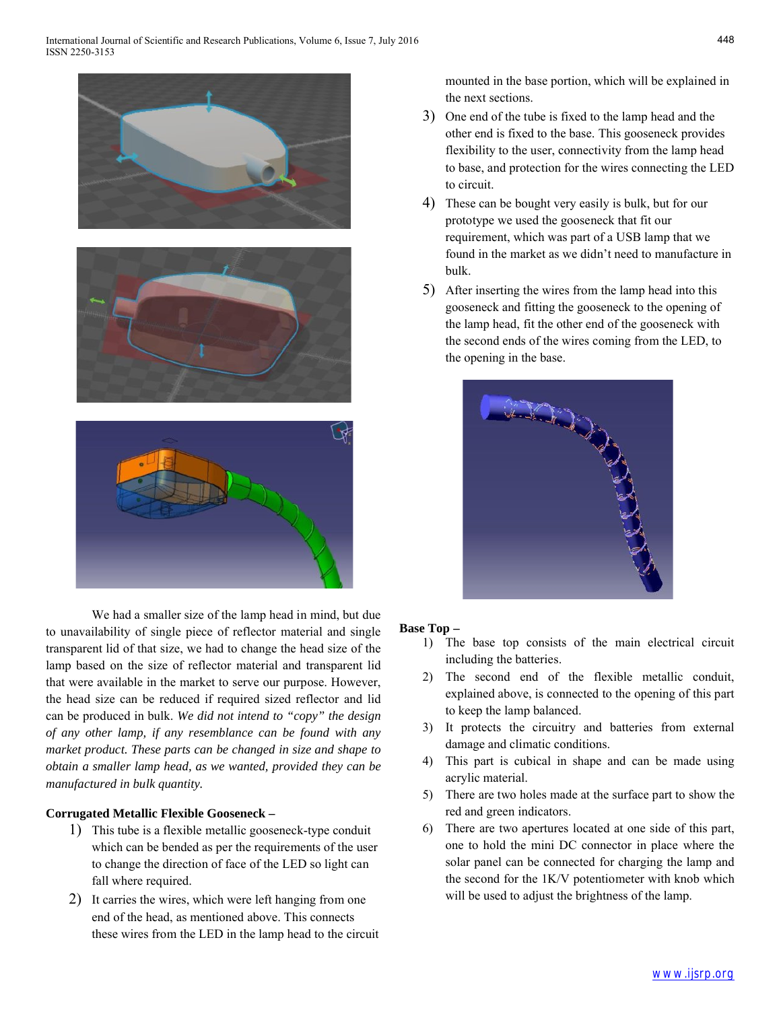

We had a smaller size of the lamp head in mind, but due to unavailability of single piece of reflector material and single transparent lid of that size, we had to change the head size of the lamp based on the size of reflector material and transparent lid that were available in the market to serve our purpose. However, the head size can be reduced if required sized reflector and lid can be produced in bulk. *We did not intend to "copy" the design of any other lamp, if any resemblance can be found with any market product. These parts can be changed in size and shape to obtain a smaller lamp head, as we wanted, provided they can be manufactured in bulk quantity.*

## **Corrugated Metallic Flexible Gooseneck –**

- 1) This tube is a flexible metallic gooseneck-type conduit which can be bended as per the requirements of the user to change the direction of face of the LED so light can fall where required.
- 2) It carries the wires, which were left hanging from one end of the head, as mentioned above. This connects these wires from the LED in the lamp head to the circuit

mounted in the base portion, which will be explained in the next sections.

- 3) One end of the tube is fixed to the lamp head and the other end is fixed to the base. This gooseneck provides flexibility to the user, connectivity from the lamp head to base, and protection for the wires connecting the LED to circuit.
- 4) These can be bought very easily is bulk, but for our prototype we used the gooseneck that fit our requirement, which was part of a USB lamp that we found in the market as we didn't need to manufacture in bulk.
- 5) After inserting the wires from the lamp head into this gooseneck and fitting the gooseneck to the opening of the lamp head, fit the other end of the gooseneck with the second ends of the wires coming from the LED, to the opening in the base.



## **Base Top –**

- 1) The base top consists of the main electrical circuit including the batteries.
- 2) The second end of the flexible metallic conduit, explained above, is connected to the opening of this part to keep the lamp balanced.
- 3) It protects the circuitry and batteries from external damage and climatic conditions.
- 4) This part is cubical in shape and can be made using acrylic material.
- 5) There are two holes made at the surface part to show the red and green indicators.
- 6) There are two apertures located at one side of this part, one to hold the mini DC connector in place where the solar panel can be connected for charging the lamp and the second for the 1K/V potentiometer with knob which will be used to adjust the brightness of the lamp.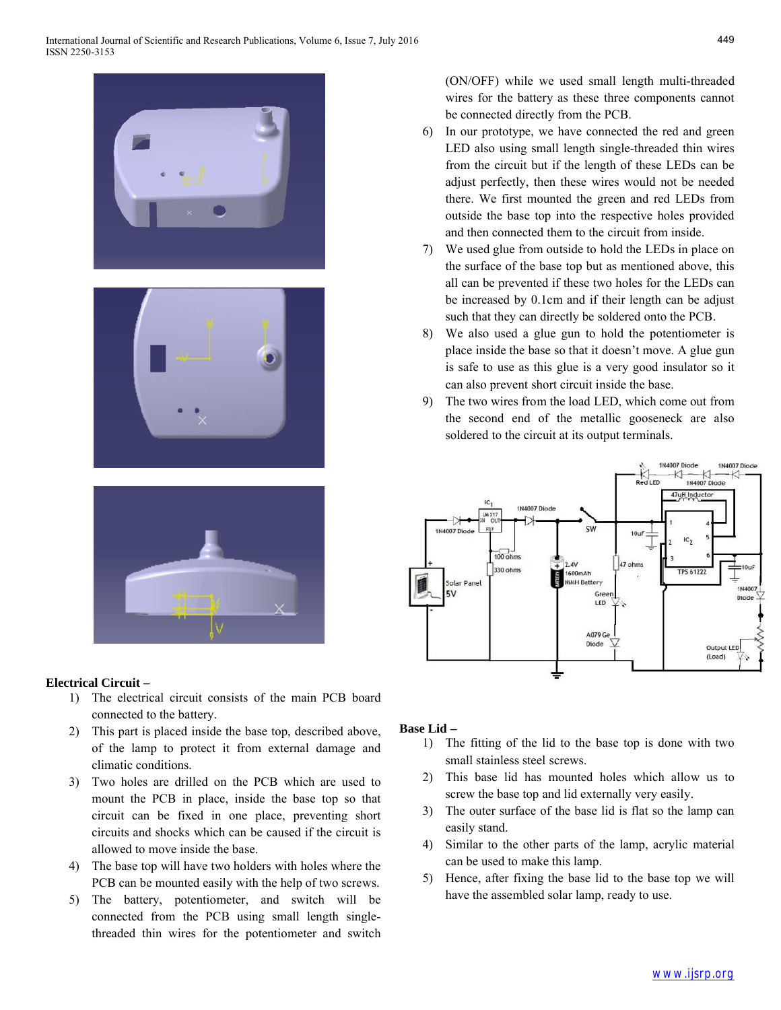





## **Electrical Circuit –**

- 1) The electrical circuit consists of the main PCB board connected to the battery.
- 2) This part is placed inside the base top, described above, of the lamp to protect it from external damage and climatic conditions.
- 3) Two holes are drilled on the PCB which are used to mount the PCB in place, inside the base top so that circuit can be fixed in one place, preventing short circuits and shocks which can be caused if the circuit is allowed to move inside the base.
- 4) The base top will have two holders with holes where the PCB can be mounted easily with the help of two screws.
- 5) The battery, potentiometer, and switch will be connected from the PCB using small length singlethreaded thin wires for the potentiometer and switch

(ON/OFF) while we used small length multi-threaded wires for the battery as these three components cannot be connected directly from the PCB.

- 6) In our prototype, we have connected the red and green LED also using small length single-threaded thin wires from the circuit but if the length of these LEDs can be adjust perfectly, then these wires would not be needed there. We first mounted the green and red LEDs from outside the base top into the respective holes provided and then connected them to the circuit from inside.
- 7) We used glue from outside to hold the LEDs in place on the surface of the base top but as mentioned above, this all can be prevented if these two holes for the LEDs can be increased by 0.1cm and if their length can be adjust such that they can directly be soldered onto the PCB.
- 8) We also used a glue gun to hold the potentiometer is place inside the base so that it doesn't move. A glue gun is safe to use as this glue is a very good insulator so it can also prevent short circuit inside the base.
- 9) The two wires from the load LED, which come out from the second end of the metallic gooseneck are also soldered to the circuit at its output terminals.



# **Base Lid –**

- 1) The fitting of the lid to the base top is done with two small stainless steel screws.
- 2) This base lid has mounted holes which allow us to screw the base top and lid externally very easily.
- 3) The outer surface of the base lid is flat so the lamp can easily stand.
- 4) Similar to the other parts of the lamp, acrylic material can be used to make this lamp.
- 5) Hence, after fixing the base lid to the base top we will have the assembled solar lamp, ready to use.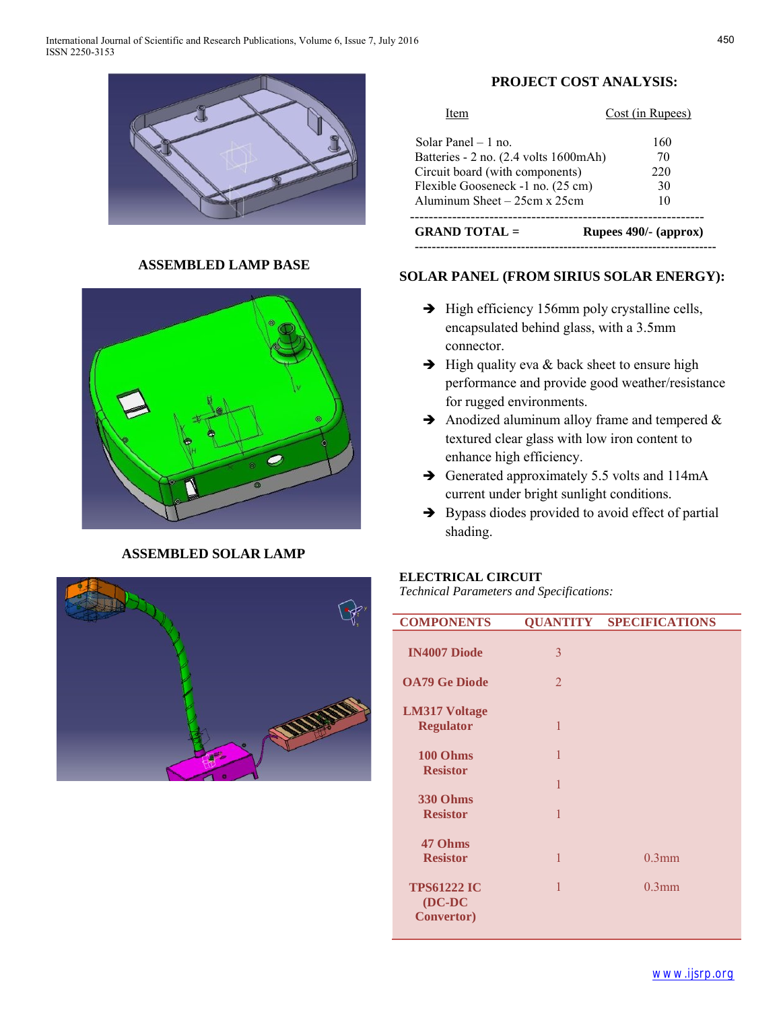

## **ASSEMBLED LAMP BASE**



# **ASSEMBLED SOLAR LAMP**



# **PROJECT COST ANALYSIS:**

| <b>GRAND TOTAL</b> =                  | Rupees 490/- (approx) |
|---------------------------------------|-----------------------|
| Aluminum Sheet $-25cm \times 25cm$    | 10                    |
| Flexible Gooseneck -1 no. (25 cm)     | 30                    |
| Circuit board (with components)       | 220                   |
| Batteries - 2 no. (2.4 volts 1600mAh) | 70                    |
| Solar Panel $-1$ no                   | 160                   |
| Item                                  | Cost (in Rupees)      |

# **SOLAR PANEL (FROM SIRIUS SOLAR ENERGY):**

- $\rightarrow$  High efficiency 156mm poly crystalline cells, encapsulated behind glass, with a 3.5mm connector.
- $\rightarrow$  High quality eva & back sheet to ensure high performance and provide good weather/resistance for rugged environments.
- $\rightarrow$  Anodized aluminum alloy frame and tempered  $\&$ textured clear glass with low iron content to enhance high efficiency.
- $\rightarrow$  Generated approximately 5.5 volts and 114mA current under bright sunlight conditions.
- $\rightarrow$  Bypass diodes provided to avoid effect of partial shading.

# **ELECTRICAL CIRCUIT**

*Technical Parameters and Specifications:*

| <b>COMPONENTS</b>                                     |                | <b>QUANTITY SPECIFICATIONS</b> |
|-------------------------------------------------------|----------------|--------------------------------|
| <b>IN4007 Diode</b>                                   | 3              |                                |
| <b>OA79 Ge Diode</b>                                  | $\overline{2}$ |                                |
| <b>LM317 Voltage</b><br><b>Regulator</b>              | 1              |                                |
| 100 Ohms                                              | 1              |                                |
| <b>Resistor</b>                                       | 1              |                                |
| <b>330 Ohms</b><br><b>Resistor</b>                    | $\mathbf{1}$   |                                |
| 47 Ohms                                               |                |                                |
| <b>Resistor</b>                                       | 1              | $0.3$ mm                       |
| <b>TPS61222 IC</b><br>$(DC-DC)$<br><b>Convertor</b> ) | 1              | $0.3$ mm                       |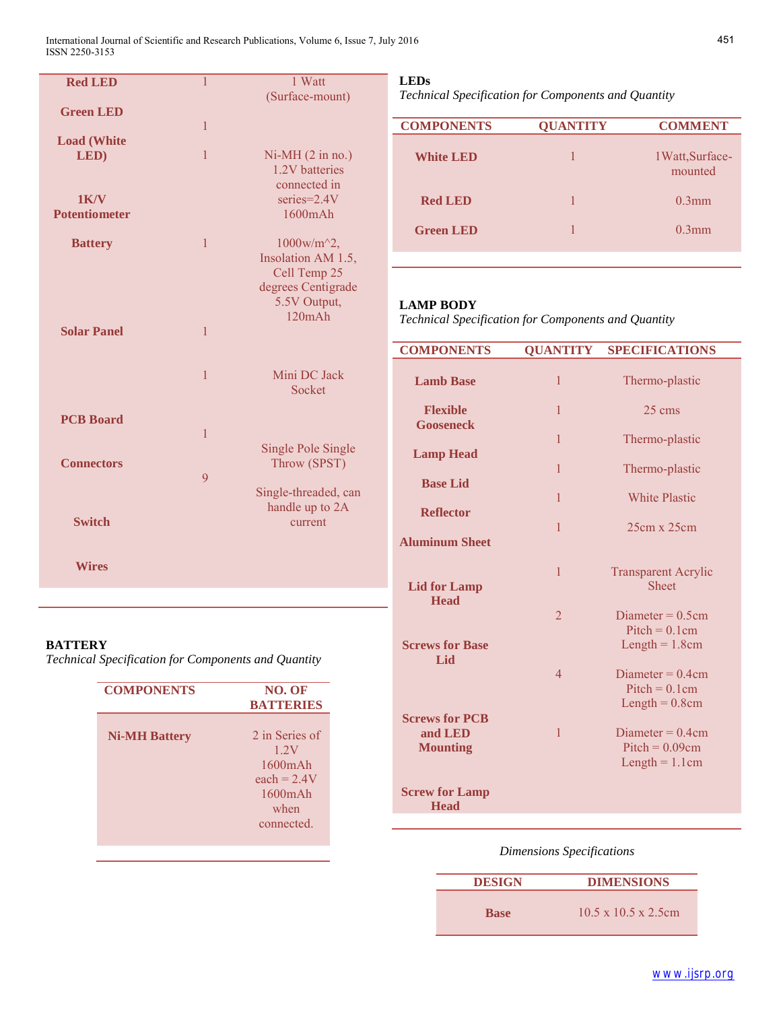International Journal of Scientific and Research Publications, Volume 6, Issue 7, July 2016 6 ISSN 2250-3153

| <b>Red LED</b>       | $\overline{1}$ | 1 Watt                                           |
|----------------------|----------------|--------------------------------------------------|
|                      |                | (Surface-mount)                                  |
| <b>Green LED</b>     |                |                                                  |
|                      | $\mathbf{1}$   |                                                  |
| <b>Load (White</b>   |                |                                                  |
| LED)                 | $\mathbf{1}$   | $Ni-MH (2 in no.)$                               |
|                      |                | 1.2V batteries                                   |
|                      |                | connected in                                     |
| 1K/V                 |                | series=2.4V                                      |
| <b>Potentiometer</b> |                | 1600mAh                                          |
| <b>Battery</b>       | $\mathbf{1}$   | $1000$ w/m <sup><math>\textdegree</math>2,</sup> |
|                      |                | Insolation AM 1.5,                               |
|                      |                | Cell Temp 25                                     |
|                      |                | degrees Centigrade                               |
|                      |                | 5.5V Output,                                     |
|                      |                | 120mAh                                           |
| <b>Solar Panel</b>   | $\mathbf{1}$   |                                                  |
|                      |                |                                                  |
|                      |                |                                                  |
|                      | $\mathbf{1}$   | Mini DC Jack                                     |
|                      |                | Socket                                           |
|                      |                |                                                  |
| <b>PCB Board</b>     |                |                                                  |
|                      | $\mathbf{1}$   |                                                  |
| <b>Connectors</b>    |                | Single Pole Single                               |
|                      | 9              | Throw (SPST)                                     |
|                      |                | Single-threaded, can                             |
|                      |                | handle up to 2A                                  |
| <b>Switch</b>        |                | current                                          |
|                      |                |                                                  |
|                      |                |                                                  |
| <b>Wires</b>         |                |                                                  |
|                      |                |                                                  |
|                      |                |                                                  |

## **BATTERY**

*Technical Specification for Components and Quantity*

| <b>COMPONENTS</b>    | NO. OF<br><b>BATTERIES</b>                                                                      |
|----------------------|-------------------------------------------------------------------------------------------------|
| <b>Ni-MH Battery</b> | 2 in Series of<br>1 2V<br>$1600$ m $Ah$<br>each $= 2.4V$<br>$1600$ m $Ah$<br>when<br>connected. |

# **LEDs**

*Technical Specification for Components and Quantity*

| <b>COMPONENTS</b> | <b>OUANTITY</b> | <b>COMMENT</b>              |
|-------------------|-----------------|-----------------------------|
| <b>White LED</b>  |                 | 1 Watt, Surface-<br>mounted |
| <b>Red LED</b>    |                 | $0.3$ mm                    |
| <b>Green LED</b>  |                 | $0.3$ mm                    |
|                   |                 |                             |

## **LAMP BODY**

*Technical Specification for Components and Quantity*

| <b>COMPONENTS</b>      | <b>QUANTITY</b> | <b>SPECIFICATIONS</b>                      |
|------------------------|-----------------|--------------------------------------------|
|                        |                 |                                            |
| <b>Lamb Base</b>       | 1               | Thermo-plastic                             |
| <b>Flexible</b>        | 1               | 25 cms                                     |
| <b>Gooseneck</b>       |                 |                                            |
|                        | $\mathbf{1}$    | Thermo-plastic                             |
| <b>Lamp Head</b>       | $\mathbf{1}$    | Thermo-plastic                             |
| <b>Base Lid</b>        |                 |                                            |
|                        | 1               | <b>White Plastic</b>                       |
| <b>Reflector</b>       | $\mathbf{1}$    | $25cm \times 25cm$                         |
| <b>Aluminum Sheet</b>  |                 |                                            |
|                        |                 |                                            |
| <b>Lid for Lamp</b>    | $\mathbf{1}$    | <b>Transparent Acrylic</b><br><b>Sheet</b> |
| <b>Head</b>            |                 |                                            |
|                        | $\overline{2}$  | Diameter = $0.5cm$                         |
| <b>Screws for Base</b> |                 | $Pitch = 0.1cm$<br>Length $= 1.8$ cm       |
| Lid                    |                 |                                            |
|                        | $\overline{4}$  | Diameter = $0.4cm$                         |
|                        |                 | $Pitch = 0.1cm$<br>Length $= 0.8$ cm       |
| <b>Screws for PCB</b>  |                 |                                            |
| and LED                | $\mathbf{1}$    | Diameter = $0.4cm$                         |
| <b>Mounting</b>        |                 | $Pitch = 0.09cm$<br>Length $= 1.1$ cm      |
|                        |                 |                                            |
| <b>Screw for Lamp</b>  |                 |                                            |
| <b>Head</b>            |                 |                                            |

## *Dimensions Specifications*

| <b>DESIGN</b> | <b>DIMENSIONS</b>                |
|---------------|----------------------------------|
| <b>Base</b>   | $10.5 \times 10.5 \times 2.5$ cm |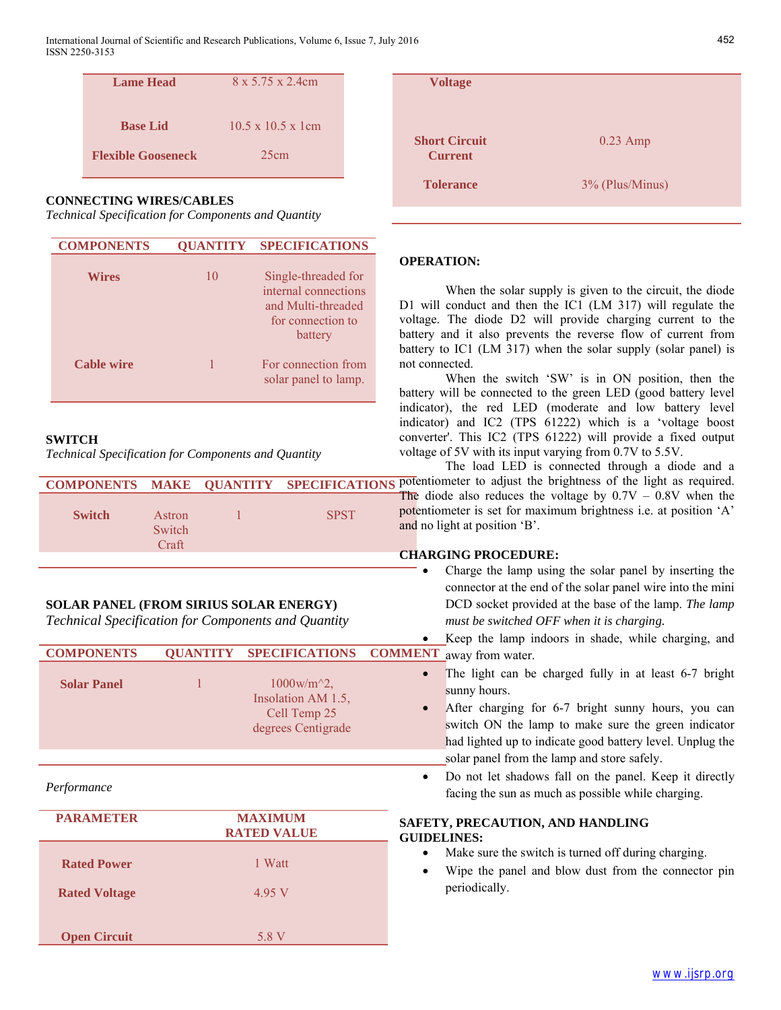| Lame Head                 | 8 x 5.75 x 2.4cm               |
|---------------------------|--------------------------------|
|                           |                                |
| <b>Base Lid</b>           | $10.5 \times 10.5 \times 1$ cm |
|                           |                                |
| <b>Flexible Gooseneck</b> | 25cm                           |

## **CONNECTING WIRES/CABLES**

*Technical Specification for Components and Quantity*

| <b>COMPONENTS</b> | <b>OUANTITY</b> | <b>SPECIFICATIONS</b>                                                                             |
|-------------------|-----------------|---------------------------------------------------------------------------------------------------|
| <b>Wires</b>      | 10              | Single-threaded for<br>internal connections<br>and Multi-threaded<br>for connection to<br>battery |
| <b>Cable wire</b> |                 | For connection from<br>solar panel to lamp.                                                       |

#### **SWITCH**

*Technical Specification for Components and Quantity*

| <b>SPST</b><br><b>Switch</b><br>Astron<br>Switch<br>Craft |  | COMPONENTS MAKE QUANTITY SPECIFICATIONS |
|-----------------------------------------------------------|--|-----------------------------------------|
|                                                           |  |                                         |

## **SOLAR PANEL (FROM SIRIUS SOLAR ENERGY)**

*Technical Specification for Components and Quantity*

|                      |                 |                                                                                       | Keep the lamp indoors in shade, while charging, and                                                                                                                                                                                                                                                         |
|----------------------|-----------------|---------------------------------------------------------------------------------------|-------------------------------------------------------------------------------------------------------------------------------------------------------------------------------------------------------------------------------------------------------------------------------------------------------------|
| <b>COMPONENTS</b>    | <b>QUANTITY</b> | <b>SPECIFICATIONS</b>                                                                 | <b>COMMENT</b><br>away from water.                                                                                                                                                                                                                                                                          |
| <b>Solar Panel</b>   |                 | $1000 \,\mathrm{w/m}^2$ .<br>Insolation AM 1.5,<br>Cell Temp 25<br>degrees Centigrade | The light can be charged fully in at least 6-7 bright<br>sunny hours.<br>After charging for 6-7 bright sunny hours, you can<br>$\bullet$<br>switch ON the lamp to make sure the green indicator<br>had lighted up to indicate good battery level. Unplug the<br>solar panel from the lamp and store safely. |
| Performance          |                 |                                                                                       | Do not let shadows fall on the panel. Keep it directly<br>$\bullet$<br>facing the sun as much as possible while charging.                                                                                                                                                                                   |
| <b>PARAMETER</b>     |                 | <b>MAXIMUM</b><br><b>RATED VALUE</b>                                                  | SAFETY, PRECAUTION, AND HANDLING<br><b>GUIDELINES:</b>                                                                                                                                                                                                                                                      |
| <b>Rated Power</b>   |                 | 1 Watt                                                                                | Make sure the switch is turned off during charging.<br>$\bullet$<br>Wipe the panel and blow dust from the connector pin                                                                                                                                                                                     |
| <b>Rated Voltage</b> |                 | 4.95 V                                                                                | periodically.                                                                                                                                                                                                                                                                                               |
| <b>Open Circuit</b>  |                 | 5.8 V                                                                                 |                                                                                                                                                                                                                                                                                                             |

| <b>Voltage</b>                         |                 |
|----------------------------------------|-----------------|
| <b>Short Circuit</b><br><b>Current</b> | $0.23$ Amp      |
| <b>Tolerance</b>                       | 3% (Plus/Minus) |

## **OPERATION:**

When the solar supply is given to the circuit, the diode D1 will conduct and then the IC1 (LM 317) will regulate the voltage. The diode D2 will provide charging current to the battery and it also prevents the reverse flow of current from battery to IC1 (LM 317) when the solar supply (solar panel) is not connected.

When the switch 'SW' is in ON position, then the battery will be connected to the green LED (good battery level indicator), the red LED (moderate and low battery level indicator) and IC2 (TPS 61222) which is a 'voltage boost converter'. This IC2 (TPS 61222) will provide a fixed output voltage of 5V with its input varying from 0.7V to 5.5V.

The load LED is connected through a diode and a **NS** potentiometer to adjust the brightness of the light as required. The diode also reduces the voltage by  $0.7V - 0.8V$  when the potentiometer is set for maximum brightness i.e. at position 'A' and no light at position 'B'.

## **CHARGING PROCEDURE:**

- Charge the lamp using the solar panel by inserting the connector at the end of the solar panel wire into the mini DCD socket provided at the base of the lamp. *The lamp must be switched OFF when it is charging.*
- Keep the lamp indoors in shade, while charging, and
- 
- Do not let shadows fall on the panel. Keep it directly